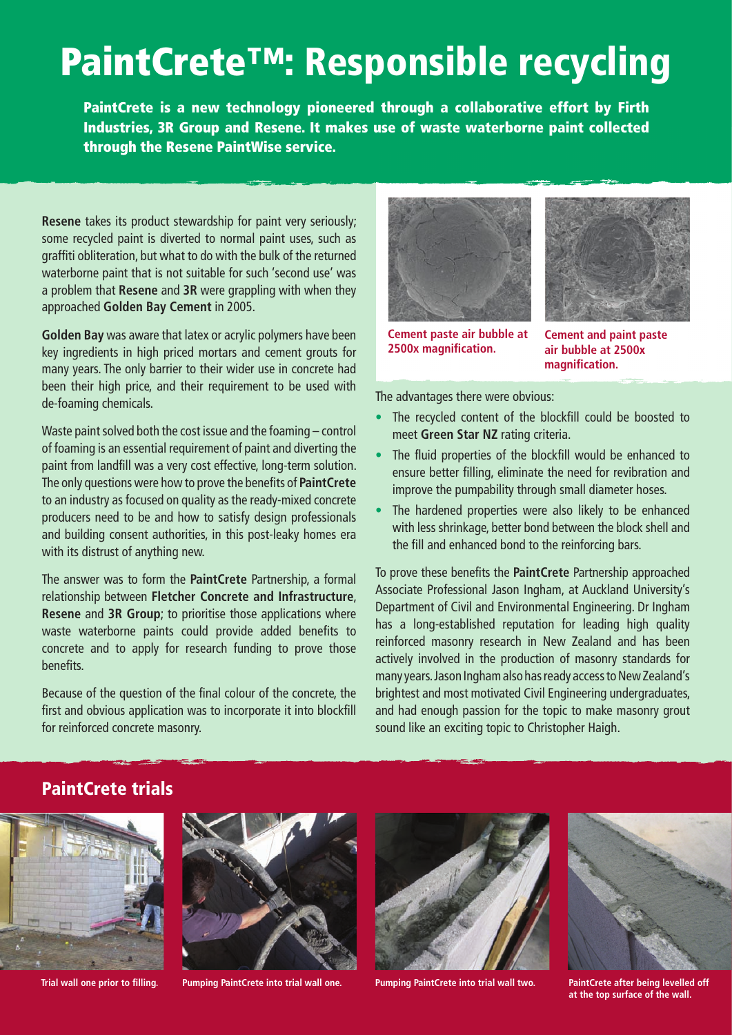## PaintCrete™: Responsible recycling

PaintCrete is a new technology pioneered through a collaborative effort by Firth Industries, 3R Group and Resene. It makes use of waste waterborne paint collected through the Resene PaintWise service.

**Resene** takes its product stewardship for paint very seriously; some recycled paint is diverted to normal paint uses, such as graffiti obliteration, but what to do with the bulk of the returned waterborne paint that is not suitable for such 'second use' was a problem that **Resene** and **3R** were grappling with when they approached **Golden Bay Cement** in 2005.

**Golden Bay** was aware that latex or acrylic polymers have been key ingredients in high priced mortars and cement grouts for many years. The only barrier to their wider use in concrete had been their high price, and their requirement to be used with de-foaming chemicals.

Waste paint solved both the cost issue and the foaming – control of foaming is an essential requirement of paint and diverting the paint from landfill was a very cost effective, long-term solution. The only questions were how to prove the benefits of **PaintCrete** to an industry as focused on quality as the ready-mixed concrete producers need to be and how to satisfy design professionals and building consent authorities, in this post-leaky homes era with its distrust of anything new.

The answer was to form the **PaintCrete** Partnership, a formal relationship between **Fletcher Concrete and Infrastructure**, **Resene** and **3R Group**; to prioritise those applications where waste waterborne paints could provide added benefits to concrete and to apply for research funding to prove those benefits.

Because of the question of the final colour of the concrete, the first and obvious application was to incorporate it into blockfill for reinforced concrete masonry.



**Cement paste air bubble at 2500x magnification.**



**Cement and paint paste air bubble at 2500x magnification.**

The advantages there were obvious:

- The recycled content of the blockfill could be boosted to meet **Green Star NZ** rating criteria.
- The fluid properties of the blockfill would be enhanced to ensure better filling, eliminate the need for revibration and improve the pumpability through small diameter hoses.
- The hardened properties were also likely to be enhanced with less shrinkage, better bond between the block shell and the fill and enhanced bond to the reinforcing bars.

To prove these benefits the **PaintCrete** Partnership approached Associate Professional Jason Ingham, at Auckland University's Department of Civil and Environmental Engineering. Dr Ingham has a long-established reputation for leading high quality reinforced masonry research in New Zealand and has been actively involved in the production of masonry standards for many years. Jason Ingham also has ready access to New Zealand's brightest and most motivated Civil Engineering undergraduates, and had enough passion for the topic to make masonry grout sound like an exciting topic to Christopher Haigh.

## PaintCrete trials





**Trial wall one prior to filling. Pumping PaintCrete into trial wall one. Pumping PaintCrete into trial wall two. PaintCrete after being levelled off** 





**at the top surface of the wall.**